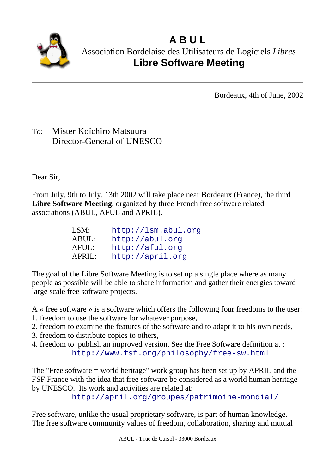

**A B U L** Association Bordelaise des Utilisateurs de Logiciels *Libres* **Libre Software Meeting**

Bordeaux, 4th of June, 2002

## To: Mister Koïchiro Matsuura Director-General of UNESCO

Dear Sir,

From July, 9th to July, 13th 2002 will take place near Bordeaux (France), the third **Libre Software Meeting**, organized by three French free software related associations (ABUL, AFUL and APRIL).

| LSM:   | http://lsm.abul.org |
|--------|---------------------|
| ABUL:  | http://abul.org     |
| AFUL:  | http://aful.org     |
| APRIL: | http://april.org    |

The goal of the Libre Software Meeting is to set up a single place where as many people as possible will be able to share information and gather their energies toward large scale free software projects.

A « free software » is a software which offers the following four freedoms to the user:

- 1. freedom to use the software for whatever purpose,
- 2. freedom to examine the features of the software and to adapt it to his own needs,
- 3. freedom to distribute copies to others,
- 4. freedom to publish an improved version. See the Free Software definition at : http://www.fsf.org/philosophy/free-sw.html

The "Free software = world heritage" work group has been set up by APRIL and the FSF France with the idea that free software be considered as a world human heritage by UNESCO. Its work and activities are related at:

http://april.org/groupes/patrimoine-mondial/

Free software, unlike the usual proprietary software, is part of human knowledge. The free software community values of freedom, collaboration, sharing and mutual